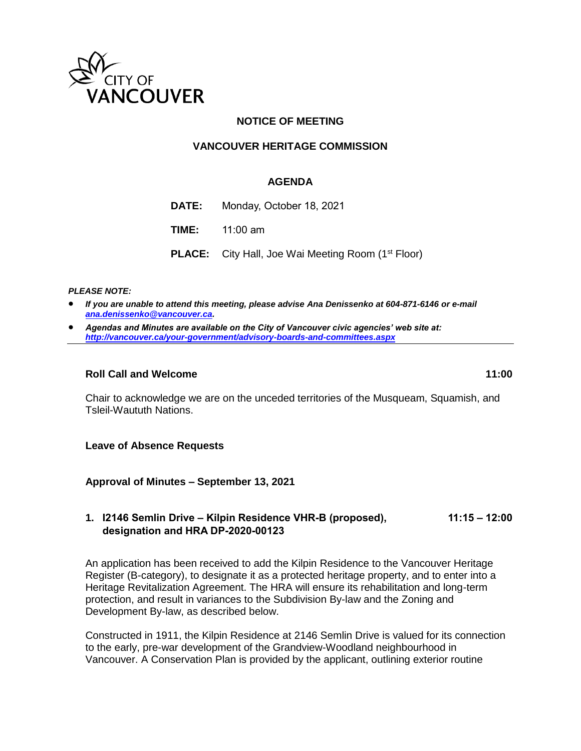

## **NOTICE OF MEETING**

## **VANCOUVER HERITAGE COMMISSION**

#### **AGENDA**

| DATE: | Monday, October 18, 2021                                              |
|-------|-----------------------------------------------------------------------|
|       | <b>TIME:</b> $11:00$ am                                               |
|       | <b>PLACE:</b> City Hall, Joe Wai Meeting Room (1 <sup>st</sup> Floor) |

*PLEASE NOTE:*

- *If you are unable to attend this meeting, please advise Ana Denissenko at 604-871-6146 or e-mail [ana.denissenko@vancouver.ca.](mailto:ana.denissenko@vancouver.ca)*
- *Agendas and Minutes are available on the City of Vancouver civic agencies' web site at: <http://vancouver.ca/your-government/advisory-boards-and-committees.aspx>*

#### **Roll Call and Welcome 11:00**

Chair to acknowledge we are on the unceded territories of the Musqueam, Squamish, and Tsleil-Waututh Nations.

**Leave of Absence Requests**

**Approval of Minutes – September 13, 2021**

#### **1. I2146 Semlin Drive – Kilpin Residence VHR-B (proposed), 11:15 – 12:00 designation and HRA DP-2020-00123**

An application has been received to add the Kilpin Residence to the Vancouver Heritage Register (B-category), to designate it as a protected heritage property, and to enter into a Heritage Revitalization Agreement. The HRA will ensure its rehabilitation and long-term protection, and result in variances to the Subdivision By-law and the Zoning and Development By-law, as described below.

Constructed in 1911, the Kilpin Residence at 2146 Semlin Drive is valued for its connection to the early, pre-war development of the Grandview-Woodland neighbourhood in Vancouver. A Conservation Plan is provided by the applicant, outlining exterior routine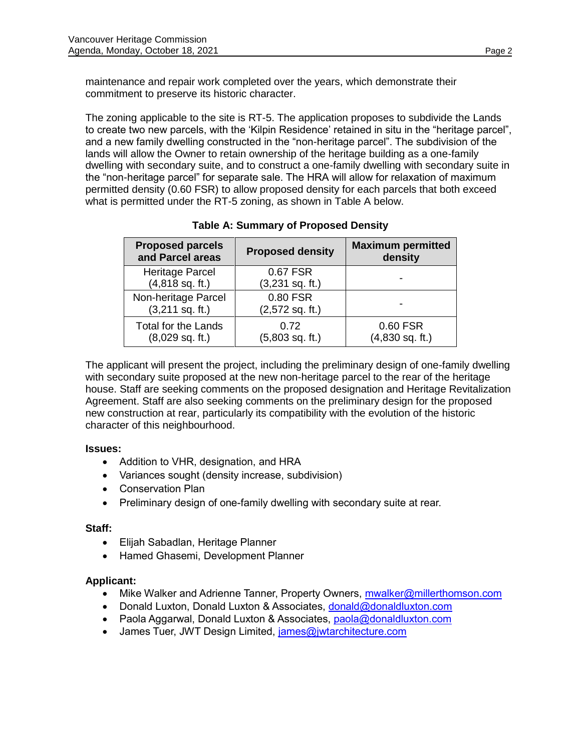maintenance and repair work completed over the years, which demonstrate their commitment to preserve its historic character.

The zoning applicable to the site is RT-5. The application proposes to subdivide the Lands to create two new parcels, with the 'Kilpin Residence' retained in situ in the "heritage parcel", and a new family dwelling constructed in the "non-heritage parcel". The subdivision of the lands will allow the Owner to retain ownership of the heritage building as a one-family dwelling with secondary suite, and to construct a one-family dwelling with secondary suite in the "non-heritage parcel" for separate sale. The HRA will allow for relaxation of maximum permitted density (0.60 FSR) to allow proposed density for each parcels that both exceed what is permitted under the RT-5 zoning, as shown in Table A below.

| <b>Proposed parcels</b><br>and Parcel areas     | <b>Proposed density</b>       | <b>Maximum permitted</b><br>density |
|-------------------------------------------------|-------------------------------|-------------------------------------|
| Heritage Parcel<br>$(4,818$ sq. ft.)            | 0.67 FSR<br>$(3,231$ sq. ft.) |                                     |
| Non-heritage Parcel<br>$(3,211$ sq. ft.)        | 0.80 FSR<br>$(2,572$ sq. ft.) |                                     |
| <b>Total for the Lands</b><br>$(8,029$ sq. ft.) | 0.72<br>$(5,803$ sq. ft.)     | 0.60 FSR<br>$(4,830$ sq. ft.)       |

**Table A: Summary of Proposed Density**

The applicant will present the project, including the preliminary design of one-family dwelling with secondary suite proposed at the new non-heritage parcel to the rear of the heritage house. Staff are seeking comments on the proposed designation and Heritage Revitalization Agreement. Staff are also seeking comments on the preliminary design for the proposed new construction at rear, particularly its compatibility with the evolution of the historic character of this neighbourhood.

## **Issues:**

- Addition to VHR, designation, and HRA
- Variances sought (density increase, subdivision)
- Conservation Plan
- Preliminary design of one-family dwelling with secondary suite at rear.

# **Staff:**

- Elijah Sabadlan, Heritage Planner
- Hamed Ghasemi, Development Planner

# **Applicant:**

- Mike Walker and Adrienne Tanner, Property Owners, **mwalker@millerthomson.com**
- Donald Luxton, Donald Luxton & Associates, [donald@donaldluxton.com](mailto:donald@donaldluxton.com)
- Paola Aggarwal, Donald Luxton & Associates, [paola@donaldluxton.com](mailto:paola@donaldluxton.com)
- James Tuer, JWT Design Limited, *james@jwtarchitecture.com*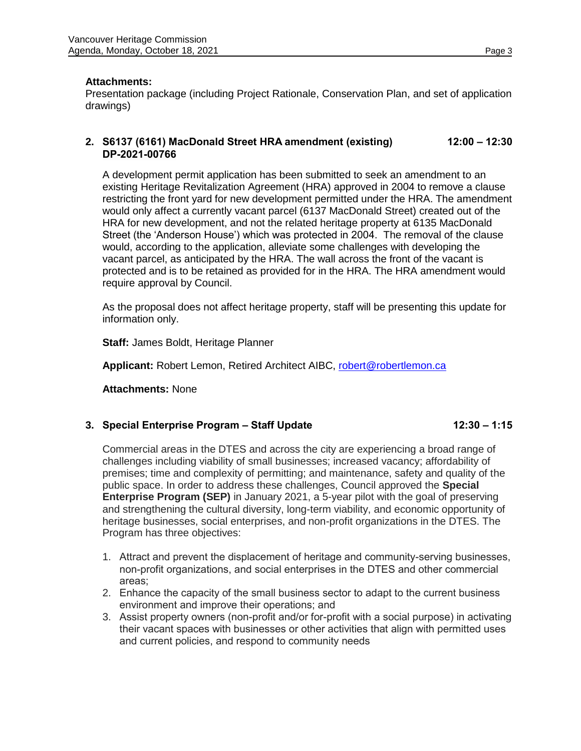#### **Attachments:**

Presentation package (including Project Rationale, Conservation Plan, and set of application drawings)

## **2. S6137 (6161) MacDonald Street HRA amendment (existing) 12:00 – 12:30 DP-2021-00766**

A development permit application has been submitted to seek an amendment to an existing Heritage Revitalization Agreement (HRA) approved in 2004 to remove a clause restricting the front yard for new development permitted under the HRA. The amendment would only affect a currently vacant parcel (6137 MacDonald Street) created out of the HRA for new development, and not the related heritage property at 6135 MacDonald Street (the 'Anderson House') which was protected in 2004. The removal of the clause would, according to the application, alleviate some challenges with developing the vacant parcel, as anticipated by the HRA. The wall across the front of the vacant is protected and is to be retained as provided for in the HRA. The HRA amendment would require approval by Council.

As the proposal does not affect heritage property, staff will be presenting this update for information only.

**Staff:** James Boldt, Heritage Planner

**Applicant:** Robert Lemon, Retired Architect AIBC, [robert@robertlemon.ca](mailto:robert@robertlemon.ca)

**Attachments:** None

## **3. Special Enterprise Program – Staff Update 12:30 – 1:15**

Commercial areas in the DTES and across the city are experiencing a broad range of challenges including viability of small businesses; increased vacancy; affordability of premises; time and complexity of permitting; and maintenance, safety and quality of the public space. In order to address these challenges, Council approved the **Special Enterprise Program (SEP)** in January 2021, a 5-year pilot with the goal of preserving and strengthening the cultural diversity, long-term viability, and economic opportunity of heritage businesses, social enterprises, and non-profit organizations in the DTES. The Program has three objectives:

- 1. Attract and prevent the displacement of heritage and community-serving businesses, non-profit organizations, and social enterprises in the DTES and other commercial areas;
- 2. Enhance the capacity of the small business sector to adapt to the current business environment and improve their operations; and
- 3. Assist property owners (non-profit and/or for-profit with a social purpose) in activating their vacant spaces with businesses or other activities that align with permitted uses and current policies, and respond to community needs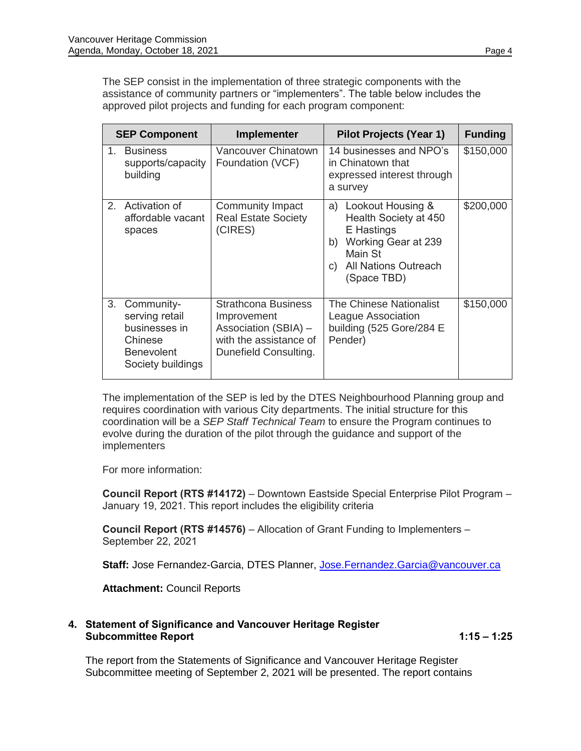The SEP consist in the implementation of three strategic components with the assistance of community partners or "implementers". The table below includes the approved pilot projects and funding for each program component:

| <b>SEP Component</b> |                                                                                                    | <b>Implementer</b>                                                                                                   | <b>Pilot Projects (Year 1)</b>                                                                                                                             | <b>Funding</b> |
|----------------------|----------------------------------------------------------------------------------------------------|----------------------------------------------------------------------------------------------------------------------|------------------------------------------------------------------------------------------------------------------------------------------------------------|----------------|
| $1_{-}$              | <b>Business</b><br>supports/capacity<br>building                                                   | <b>Vancouver Chinatown</b><br>Foundation (VCF)                                                                       | 14 businesses and NPO's<br>in Chinatown that<br>expressed interest through<br>a survey                                                                     | \$150,000      |
|                      | 2. Activation of<br>affordable vacant<br>spaces                                                    | Community Impact<br><b>Real Estate Society</b><br>(CIRES)                                                            | Lookout Housing &<br>a)<br>Health Society at 450<br>E Hastings<br>Working Gear at 239<br>b)<br>Main St<br><b>All Nations Outreach</b><br>C)<br>(Space TBD) | \$200,000      |
| 3.                   | Community-<br>serving retail<br>businesses in<br>Chinese<br><b>Benevolent</b><br>Society buildings | <b>Strathcona Business</b><br>Improvement<br>Association (SBIA) -<br>with the assistance of<br>Dunefield Consulting. | The Chinese Nationalist<br>League Association<br>building (525 Gore/284 E<br>Pender)                                                                       | \$150,000      |

The implementation of the SEP is led by the DTES Neighbourhood Planning group and requires coordination with various City departments. The initial structure for this coordination will be a *SEP Staff Technical Team* to ensure the Program continues to evolve during the duration of the pilot through the guidance and support of the **implementers** 

For more information:

**Council Report (RTS #14172)** – Downtown Eastside Special Enterprise Pilot Program – January 19, 2021. This report includes the eligibility criteria

**Council Report (RTS #14576)** – Allocation of Grant Funding to Implementers – September 22, 2021

Staff: Jose Fernandez-Garcia, DTES Planner, [Jose.Fernandez.Garcia@vancouver.ca](mailto:Jose.Fernandez.Garcia@vancouver.ca)

**Attachment:** Council Reports

#### **4. Statement of Significance and Vancouver Heritage Register Subcommittee Report 1:15 – 1:25**

The report from the Statements of Significance and Vancouver Heritage Register Subcommittee meeting of September 2, 2021 will be presented. The report contains